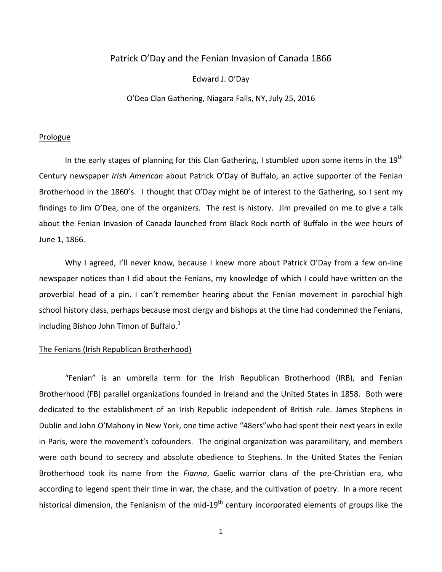## Patrick O'Day and the Fenian Invasion of Canada 1866

Edward J. O'Day

O'Dea Clan Gathering, Niagara Falls, NY, July 25, 2016

### Prologue

In the early stages of planning for this Clan Gathering, I stumbled upon some items in the  $19<sup>th</sup>$ Century newspaper *Irish American* about Patrick O'Day of Buffalo, an active supporter of the Fenian Brotherhood in the 1860's. I thought that O'Day might be of interest to the Gathering, so I sent my findings to Jim O'Dea, one of the organizers. The rest is history. Jim prevailed on me to give a talk about the Fenian Invasion of Canada launched from Black Rock north of Buffalo in the wee hours of June 1, 1866.

Why I agreed, I'll never know, because I knew more about Patrick O'Day from a few on-line newspaper notices than I did about the Fenians, my knowledge of which I could have written on the proverbial head of a pin. I can't remember hearing about the Fenian movement in parochial high school history class, perhaps because most clergy and bishops at the time had condemned the Fenians, including Bishop John Timon of Buffalo. $<sup>1</sup>$ </sup>

### The Fenians (Irish Republican Brotherhood)

"Fenian" is an umbrella term for the Irish Republican Brotherhood (IRB), and Fenian Brotherhood (FB) parallel organizations founded in Ireland and the United States in 1858. Both were dedicated to the establishment of an Irish Republic independent of British rule. James Stephens in Dublin and John O'Mahony in New York, one time active "48ers"who had spent their next years in exile in Paris, were the movement's cofounders. The original organization was paramilitary, and members were oath bound to secrecy and absolute obedience to Stephens. In the United States the Fenian Brotherhood took its name from the *Fianna*, Gaelic warrior clans of the pre-Christian era, who according to legend spent their time in war, the chase, and the cultivation of poetry. In a more recent historical dimension, the Fenianism of the mid-19<sup>th</sup> century incorporated elements of groups like the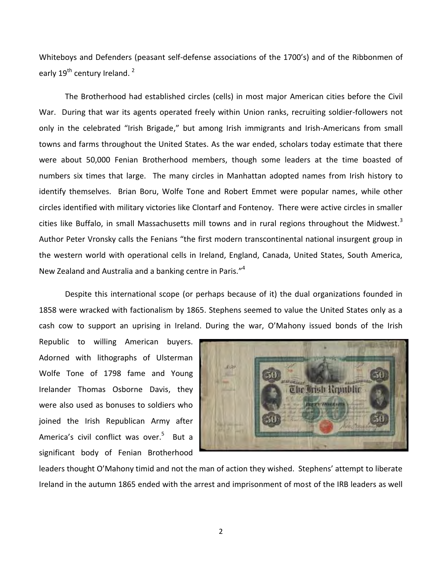Whiteboys and Defenders (peasant self-defense associations of the 1700's) and of the Ribbonmen of early 19<sup>th</sup> century Ireland.<sup>2</sup>

The Brotherhood had established circles (cells) in most major American cities before the Civil War. During that war its agents operated freely within Union ranks, recruiting soldier-followers not only in the celebrated "Irish Brigade," but among Irish immigrants and Irish-Americans from small towns and farms throughout the United States. As the war ended, scholars today estimate that there were about 50,000 Fenian Brotherhood members, though some leaders at the time boasted of numbers six times that large. The many circles in Manhattan adopted names from Irish history to identify themselves. Brian Boru, Wolfe Tone and Robert Emmet were popular names, while other circles identified with military victories like Clontarf and Fontenoy. There were active circles in smaller cities like Buffalo, in small Massachusetts mill towns and in rural regions throughout the Midwest.<sup>3</sup> Author Peter Vronsky calls the Fenians "the first modern transcontinental national insurgent group in the western world with operational cells in Ireland, England, Canada, United States, South America, New Zealand and Australia and a banking centre in Paris."<sup>4</sup>

Despite this international scope (or perhaps because of it) the dual organizations founded in 1858 were wracked with factionalism by 1865. Stephens seemed to value the United States only as a cash cow to support an uprising in Ireland. During the war, O'Mahony issued bonds of the Irish

Republic to willing American buyers. Adorned with lithographs of Ulsterman Wolfe Tone of 1798 fame and Young Irelander Thomas Osborne Davis, they were also used as bonuses to soldiers who joined the Irish Republican Army after America's civil conflict was over.<sup>5</sup> But a significant body of Fenian Brotherhood



leaders thought O'Mahony timid and not the man of action they wished. Stephens' attempt to liberate Ireland in the autumn 1865 ended with the arrest and imprisonment of most of the IRB leaders as well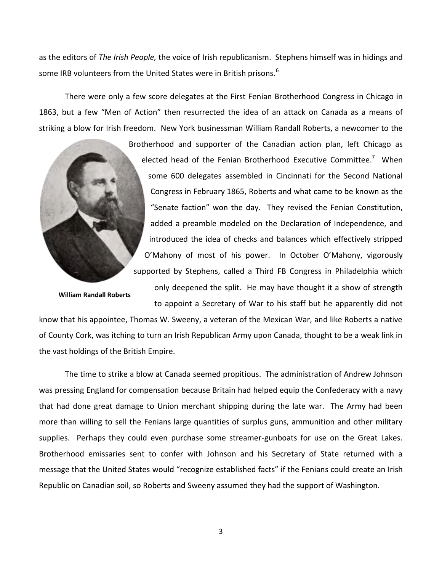as the editors of *The Irish People,* the voice of Irish republicanism. Stephens himself was in hidings and some IRB volunteers from the United States were in British prisons.<sup>6</sup>

There were only a few score delegates at the First Fenian Brotherhood Congress in Chicago in 1863, but a few "Men of Action" then resurrected the idea of an attack on Canada as a means of striking a blow for Irish freedom. New York businessman William Randall Roberts, a newcomer to the



elected head of the Fenian Brotherhood Executive Committee. $^7$  When some 600 delegates assembled in Cincinnati for the Second National Congress in February 1865, Roberts and what came to be known as the "Senate faction" won the day. They revised the Fenian Constitution, added a preamble modeled on the Declaration of Independence, and introduced the idea of checks and balances which effectively stripped O'Mahony of most of his power. In October O'Mahony, vigorously supported by Stephens, called a Third FB Congress in Philadelphia which only deepened the split. He may have thought it a show of strength

to appoint a Secretary of War to his staff but he apparently did not

**William Randall Roberts**

know that his appointee, Thomas W. Sweeny, a veteran of the Mexican War, and like Roberts a native of County Cork, was itching to turn an Irish Republican Army upon Canada, thought to be a weak link in the vast holdings of the British Empire.

The time to strike a blow at Canada seemed propitious. The administration of Andrew Johnson was pressing England for compensation because Britain had helped equip the Confederacy with a navy that had done great damage to Union merchant shipping during the late war. The Army had been more than willing to sell the Fenians large quantities of surplus guns, ammunition and other military supplies. Perhaps they could even purchase some streamer-gunboats for use on the Great Lakes. Brotherhood emissaries sent to confer with Johnson and his Secretary of State returned with a message that the United States would "recognize established facts" if the Fenians could create an Irish Republic on Canadian soil, so Roberts and Sweeny assumed they had the support of Washington.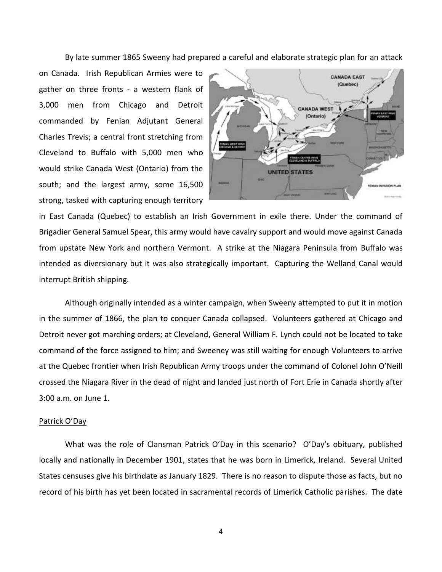By late summer 1865 Sweeny had prepared a careful and elaborate strategic plan for an attack

on Canada. Irish Republican Armies were to gather on three fronts - a western flank of 3,000 men from Chicago and Detroit commanded by Fenian Adjutant General Charles Trevis; a central front stretching from Cleveland to Buffalo with 5,000 men who would strike Canada West (Ontario) from the south; and the largest army, some 16,500 strong, tasked with capturing enough territory



in East Canada (Quebec) to establish an Irish Government in exile there. Under the command of Brigadier General Samuel Spear, this army would have cavalry support and would move against Canada from upstate New York and northern Vermont. A strike at the Niagara Peninsula from Buffalo was intended as diversionary but it was also strategically important. Capturing the Welland Canal would interrupt British shipping.

Although originally intended as a winter campaign, when Sweeny attempted to put it in motion in the summer of 1866, the plan to conquer Canada collapsed. Volunteers gathered at Chicago and Detroit never got marching orders; at Cleveland, General William F. Lynch could not be located to take command of the force assigned to him; and Sweeney was still waiting for enough Volunteers to arrive at the Quebec frontier when Irish Republican Army troops under the command of Colonel John O'Neill crossed the Niagara River in the dead of night and landed just north of Fort Erie in Canada shortly after 3:00 a.m. on June 1.

#### Patrick O'Day

What was the role of Clansman Patrick O'Day in this scenario? O'Day's obituary, published locally and nationally in December 1901, states that he was born in Limerick, Ireland. Several United States censuses give his birthdate as January 1829. There is no reason to dispute those as facts, but no record of his birth has yet been located in sacramental records of Limerick Catholic parishes. The date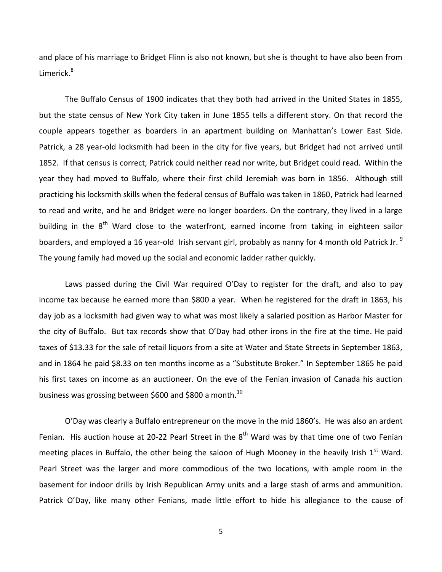and place of his marriage to Bridget Flinn is also not known, but she is thought to have also been from Limerick.<sup>8</sup>

The Buffalo Census of 1900 indicates that they both had arrived in the United States in 1855, but the state census of New York City taken in June 1855 tells a different story. On that record the couple appears together as boarders in an apartment building on Manhattan's Lower East Side. Patrick, a 28 year-old locksmith had been in the city for five years, but Bridget had not arrived until 1852. If that census is correct, Patrick could neither read nor write, but Bridget could read. Within the year they had moved to Buffalo, where their first child Jeremiah was born in 1856. Although still practicing his locksmith skills when the federal census of Buffalo was taken in 1860, Patrick had learned to read and write, and he and Bridget were no longer boarders. On the contrary, they lived in a large building in the  $8<sup>th</sup>$  Ward close to the waterfront, earned income from taking in eighteen sailor boarders, and employed a 16 year-old Irish servant girl, probably as nanny for 4 month old Patrick Jr. <sup>9</sup> The young family had moved up the social and economic ladder rather quickly.

Laws passed during the Civil War required O'Day to register for the draft, and also to pay income tax because he earned more than \$800 a year. When he registered for the draft in 1863, his day job as a locksmith had given way to what was most likely a salaried position as Harbor Master for the city of Buffalo. But tax records show that O'Day had other irons in the fire at the time. He paid taxes of \$13.33 for the sale of retail liquors from a site at Water and State Streets in September 1863, and in 1864 he paid \$8.33 on ten months income as a "Substitute Broker." In September 1865 he paid his first taxes on income as an auctioneer. On the eve of the Fenian invasion of Canada his auction business was grossing between \$600 and \$800 a month.<sup>10</sup>

O'Day was clearly a Buffalo entrepreneur on the move in the mid 1860's. He was also an ardent Fenian. His auction house at 20-22 Pearl Street in the  $8<sup>th</sup>$  Ward was by that time one of two Fenian meeting places in Buffalo, the other being the saloon of Hugh Mooney in the heavily Irish  $1<sup>st</sup>$  Ward. Pearl Street was the larger and more commodious of the two locations, with ample room in the basement for indoor drills by Irish Republican Army units and a large stash of arms and ammunition. Patrick O'Day, like many other Fenians, made little effort to hide his allegiance to the cause of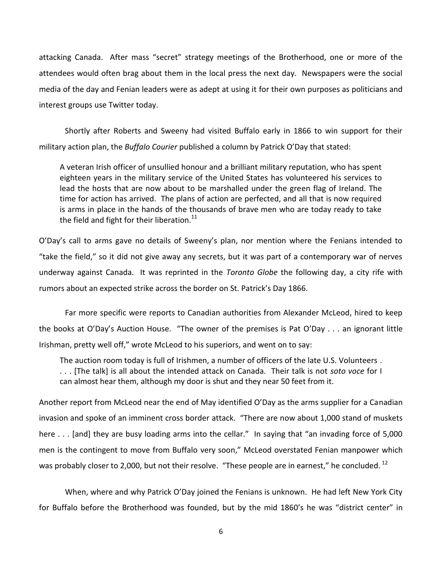attacking Canada. After mass "secret" strategy meetings of the Brotherhood, one or more of the attendees would often brag about them in the local press the next day. Newspapers were the social media of the day and Fenian leaders were as adept at using it for their own purposes as politicians and interest groups use Twitter today.

Shortly after Roberts and Sweeny had visited Buffalo early in 1866 to win support for their military action plan, the *Buffalo Courier* published a column by Patrick O'Day that stated:

A veteran Irish officer of unsullied honour and a brilliant military reputation, who has spent eighteen years in the military service of the United States has volunteered his services to lead the hosts that are now about to be marshalled under the green flag of Ireland. The time for action has arrived. The plans of action are perfected, and all that is now required is arms in place in the hands of the thousands of brave men who are today ready to take the field and fight for their liberation. $11$ 

O'Day's call to arms gave no details of Sweeny's plan, nor mention where the Fenians intended to "take the field," so it did not give away any secrets, but it was part of a contemporary war of nerves underway against Canada. It was reprinted in the *Toronto Globe* the following day, a city rife with rumors about an expected strike across the border on St. Patrick's Day 1866.

Far more specific were reports to Canadian authorities from Alexander McLeod, hired to keep the books at O'Day's Auction House. "The owner of the premises is Pat O'Day . . . an ignorant little Irishman, pretty well off," wrote McLeod to his superiors, and went on to say:

The auction room today is full of Irishmen, a number of officers of the late U.S. Volunteers . . . . [The talk] is all about the intended attack on Canada. Their talk is not *soto voce* for I can almost hear them, although my door is shut and they near 50 feet from it.

Another report from McLeod near the end of May identified O'Day as the arms supplier for a Canadian invasion and spoke of an imminent cross border attack. "There are now about 1,000 stand of muskets here . . . [and] they are busy loading arms into the cellar." In saying that "an invading force of 5,000 men is the contingent to move from Buffalo very soon," McLeod overstated Fenian manpower which was probably closer to 2,000, but not their resolve. "These people are in earnest," he concluded.<sup>12</sup>

When, where and why Patrick O'Day joined the Fenians is unknown. He had left New York City for Buffalo before the Brotherhood was founded, but by the mid 1860's he was "district center" in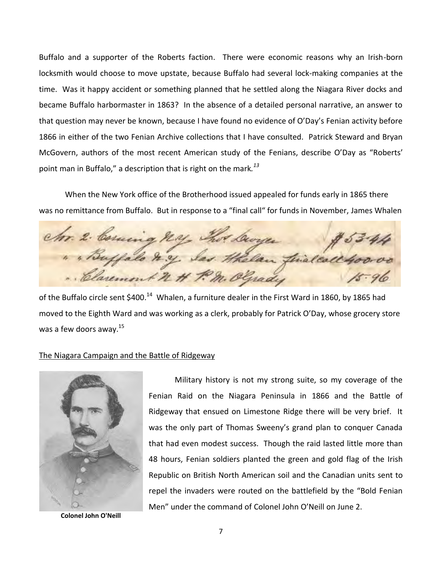Buffalo and a supporter of the Roberts faction. There were economic reasons why an Irish-born locksmith would choose to move upstate, because Buffalo had several lock-making companies at the time. Was it happy accident or something planned that he settled along the Niagara River docks and became Buffalo harbormaster in 1863? In the absence of a detailed personal narrative, an answer to that question may never be known, because I have found no evidence of O'Day's Fenian activity before 1866 in either of the two Fenian Archive collections that I have consulted. Patrick Steward and Bryan McGovern, authors of the most recent American study of the Fenians, describe O'Day as "Roberts' point man in Buffalo," a description that is right on the mark*. 13*

When the New York office of the Brotherhood issued appealed for funds early in 1865 there was no remittance from Buffalo. But in response to a "final call" for funds in November, James Whalen

chr. 2. Coming May " " Buffalo & y Sas Hhelan terioleall remember # 7. rady

of the Buffalo circle sent \$400.<sup>14</sup> Whalen, a furniture dealer in the First Ward in 1860, by 1865 had moved to the Eighth Ward and was working as a clerk, probably for Patrick O'Day, whose grocery store was a few doors away.<sup>15</sup>

## The Niagara Campaign and the Battle of Ridgeway



**Colonel John O'Neill**

Military history is not my strong suite, so my coverage of the Fenian Raid on the Niagara Peninsula in 1866 and the Battle of Ridgeway that ensued on Limestone Ridge there will be very brief. It was the only part of Thomas Sweeny's grand plan to conquer Canada that had even modest success. Though the raid lasted little more than 48 hours, Fenian soldiers planted the green and gold flag of the Irish Republic on British North American soil and the Canadian units sent to repel the invaders were routed on the battlefield by the "Bold Fenian Men" under the command of Colonel John O'Neill on June 2.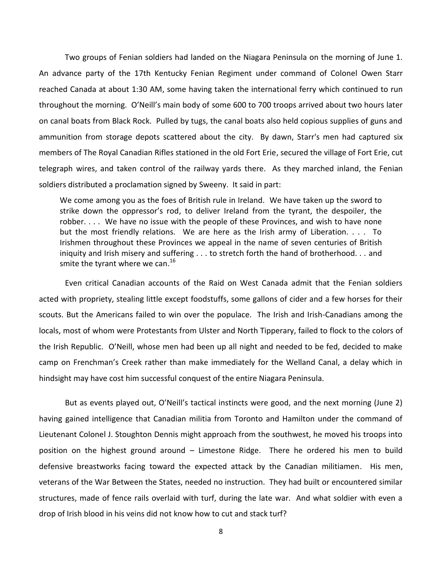Two groups of Fenian soldiers had landed on the Niagara Peninsula on the morning of June 1. An advance party of the 17th Kentucky Fenian Regiment under command of Colonel Owen Starr reached Canada at about 1:30 AM, some having taken the international ferry which continued to run throughout the morning. O'Neill's main body of some 600 to 700 troops arrived about two hours later on canal boats from Black Rock. Pulled by tugs, the canal boats also held copious supplies of guns and ammunition from storage depots scattered about the city. By dawn, Starr's men had captured six members of The Royal Canadian Rifles stationed in the old Fort Erie, secured the village of Fort Erie, cut telegraph wires, and taken control of the railway yards there. As they marched inland, the Fenian soldiers distributed a proclamation signed by Sweeny. It said in part:

We come among you as the foes of British rule in Ireland. We have taken up the sword to strike down the oppressor's rod, to deliver Ireland from the tyrant, the despoiler, the robber. . . . We have no issue with the people of these Provinces, and wish to have none but the most friendly relations. We are here as the Irish army of Liberation. . . . To Irishmen throughout these Provinces we appeal in the name of seven centuries of British iniquity and Irish misery and suffering . . . to stretch forth the hand of brotherhood. . . and smite the tyrant where we can.<sup>16</sup>

Even critical Canadian accounts of the Raid on West Canada admit that the Fenian soldiers acted with propriety, stealing little except foodstuffs, some gallons of cider and a few horses for their scouts. But the Americans failed to win over the populace. The Irish and Irish-Canadians among the locals, most of whom were Protestants from Ulster and North Tipperary, failed to flock to the colors of the Irish Republic. O'Neill, whose men had been up all night and needed to be fed, decided to make camp on Frenchman's Creek rather than make immediately for the Welland Canal, a delay which in hindsight may have cost him successful conquest of the entire Niagara Peninsula.

But as events played out, O'Neill's tactical instincts were good, and the next morning (June 2) having gained intelligence that Canadian militia from Toronto and Hamilton under the command of Lieutenant Colonel J. Stoughton Dennis might approach from the southwest, he moved his troops into position on the highest ground around – Limestone Ridge. There he ordered his men to build defensive breastworks facing toward the expected attack by the Canadian militiamen. His men, veterans of the War Between the States, needed no instruction. They had built or encountered similar structures, made of fence rails overlaid with turf, during the late war. And what soldier with even a drop of Irish blood in his veins did not know how to cut and stack turf?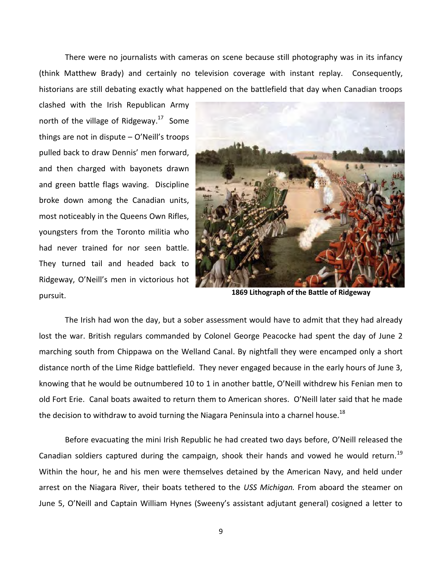There were no journalists with cameras on scene because still photography was in its infancy (think Matthew Brady) and certainly no television coverage with instant replay. Consequently, historians are still debating exactly what happened on the battlefield that day when Canadian troops

clashed with the Irish Republican Army north of the village of Ridgeway.<sup>17</sup> Some things are not in dispute  $-$  O'Neill's troops pulled back to draw Dennis' men forward, and then charged with bayonets drawn and green battle flags waving. Discipline broke down among the Canadian units, most noticeably in the Queens Own Rifles, youngsters from the Toronto militia who had never trained for nor seen battle. They turned tail and headed back to Ridgeway, O'Neill's men in victorious hot pursuit.



**1869 Lithograph of the Battle of Ridgeway**

The Irish had won the day, but a sober assessment would have to admit that they had already lost the war. British regulars commanded by Colonel George Peacocke had spent the day of June 2 marching south from Chippawa on the Welland Canal. By nightfall they were encamped only a short distance north of the Lime Ridge battlefield. They never engaged because in the early hours of June 3, knowing that he would be outnumbered 10 to 1 in another battle, O'Neill withdrew his Fenian men to old Fort Erie. Canal boats awaited to return them to American shores. O'Neill later said that he made the decision to withdraw to avoid turning the Niagara Peninsula into a charnel house.<sup>18</sup>

Before evacuating the mini Irish Republic he had created two days before, O'Neill released the Canadian soldiers captured during the campaign, shook their hands and vowed he would return.<sup>19</sup> Within the hour, he and his men were themselves detained by the American Navy, and held under arrest on the Niagara River, their boats tethered to the *USS Michigan.* From aboard the steamer on June 5, O'Neill and Captain William Hynes (Sweeny's assistant adjutant general) cosigned a letter to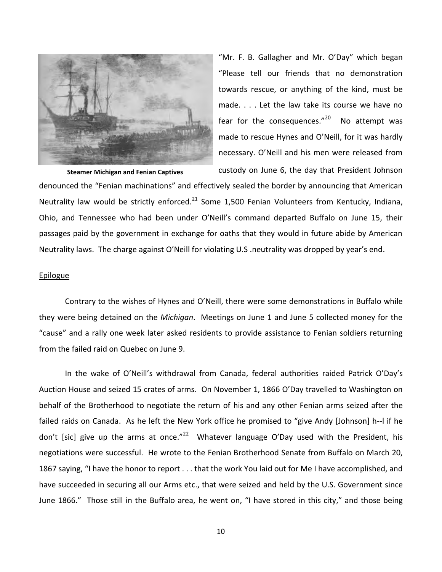

"Mr. F. B. Gallagher and Mr. O'Day" which began "Please tell our friends that no demonstration towards rescue, or anything of the kind, must be made. . . . Let the law take its course we have no fear for the consequences."<sup>20</sup> No attempt was made to rescue Hynes and O'Neill, for it was hardly necessary. O'Neill and his men were released from custody on June 6, the day that President Johnson

denounced the "Fenian machinations" and effectively sealed the border by announcing that American Neutrality law would be strictly enforced.<sup>21</sup> Some 1,500 Fenian Volunteers from Kentucky, Indiana, Ohio, and Tennessee who had been under O'Neill's command departed Buffalo on June 15, their passages paid by the government in exchange for oaths that they would in future abide by American Neutrality laws. The charge against O'Neill for violating U.S .neutrality was dropped by year's end.

#### Epilogue

Contrary to the wishes of Hynes and O'Neill, there were some demonstrations in Buffalo while they were being detained on the *Michigan*. Meetings on June 1 and June 5 collected money for the "cause" and a rally one week later asked residents to provide assistance to Fenian soldiers returning from the failed raid on Quebec on June 9.

In the wake of O'Neill's withdrawal from Canada, federal authorities raided Patrick O'Day's Auction House and seized 15 crates of arms. On November 1, 1866 O'Day travelled to Washington on behalf of the Brotherhood to negotiate the return of his and any other Fenian arms seized after the failed raids on Canada. As he left the New York office he promised to "give Andy [Johnson] h--l if he don't [sic] give up the arms at once."<sup>22</sup> Whatever language O'Day used with the President, his negotiations were successful. He wrote to the Fenian Brotherhood Senate from Buffalo on March 20, 1867 saying, "I have the honor to report . . . that the work You laid out for Me I have accomplished, and have succeeded in securing all our Arms etc., that were seized and held by the U.S. Government since June 1866." Those still in the Buffalo area, he went on, "I have stored in this city," and those being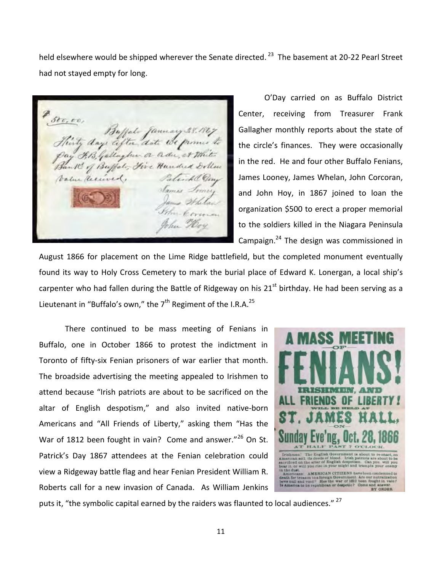held elsewhere would be shipped wherever the Senate directed.<sup>23</sup> The basement at 20-22 Pearl Street had not stayed empty for long.

 $500, 00$ hu or order of the fale dire Hu

O'Day carried on as Buffalo District Center, receiving from Treasurer Frank Gallagher monthly reports about the state of the circle's finances. They were occasionally in the red. He and four other Buffalo Fenians, James Looney, James Whelan, John Corcoran, and John Hoy, in 1867 joined to loan the organization \$500 to erect a proper memorial to the soldiers killed in the Niagara Peninsula Campaign.<sup>24</sup> The design was commissioned in

August 1866 for placement on the Lime Ridge battlefield, but the completed monument eventually found its way to Holy Cross Cemetery to mark the burial place of Edward K. Lonergan, a local ship's carpenter who had fallen during the Battle of Ridgeway on his  $21<sup>st</sup>$  birthday. He had been serving as a Lieutenant in "Buffalo's own," the  $7<sup>th</sup>$  Regiment of the I.R.A.<sup>25</sup>

There continued to be mass meeting of Fenians in Buffalo, one in October 1866 to protest the indictment in Toronto of fifty-six Fenian prisoners of war earlier that month. The broadside advertising the meeting appealed to Irishmen to attend because "Irish patriots are about to be sacrificed on the altar of English despotism," and also invited native-born Americans and "All Friends of Liberty," asking them "Has the War of 1812 been fought in vain? Come and answer."<sup>26</sup> On St. Patrick's Day 1867 attendees at the Fenian celebration could view a Ridgeway battle flag and hear Fenian President William R. Roberts call for a new invasion of Canada. As William Jenkins



puts it, "the symbolic capital earned by the raiders was flaunted to local audiences." <sup>27</sup>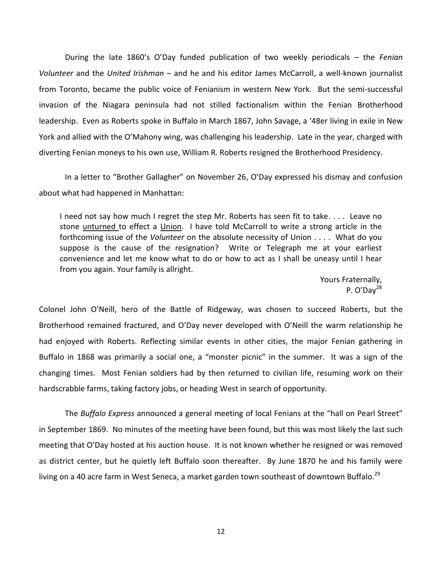During the late 1860's O'Day funded publication of two weekly periodicals – the *Fenian Volunteer* and the *United Irishman –* and he and his editor James McCarroll, a well-known journalist from Toronto, became the public voice of Fenianism in western New York. But the semi-successful invasion of the Niagara peninsula had not stilled factionalism within the Fenian Brotherhood leadership. Even as Roberts spoke in Buffalo in March 1867, John Savage, a '48er living in exile in New York and allied with the O'Mahony wing, was challenging his leadership. Late in the year, charged with diverting Fenian moneys to his own use, William R. Roberts resigned the Brotherhood Presidency.

In a letter to "Brother Gallagher" on November 26, O'Day expressed his dismay and confusion about what had happened in Manhattan:

I need not say how much I regret the step Mr. Roberts has seen fit to take. . . . Leave no stone unturned to effect a Union. I have told McCarroll to write a strong article in the forthcoming issue of the *Volunteer* on the absolute necessity of Union . . . . What do you suppose is the cause of the resignation? Write or Telegraph me at your earliest convenience and let me know what to do or how to act as I shall be uneasy until I hear from you again. Your family is allright.

> Yours Fraternally, P.  $O'Dav^{28}$

Colonel John O'Neill, hero of the Battle of Ridgeway, was chosen to succeed Roberts, but the Brotherhood remained fractured, and O'Day never developed with O'Neill the warm relationship he had enjoyed with Roberts. Reflecting similar events in other cities, the major Fenian gathering in Buffalo in 1868 was primarily a social one, a "monster picnic" in the summer. It was a sign of the changing times. Most Fenian soldiers had by then returned to civilian life, resuming work on their hardscrabble farms, taking factory jobs, or heading West in search of opportunity.

The *Buffalo Express* announced a general meeting of local Fenians at the "hall on Pearl Street" in September 1869.No minutes of the meeting have been found, but this was most likely the last such meeting that O'Day hosted at his auction house. It is not known whether he resigned or was removed as district center, but he quietly left Buffalo soon thereafter. By June 1870 he and his family were living on a 40 acre farm in West Seneca, a market garden town southeast of downtown Buffalo.<sup>29</sup>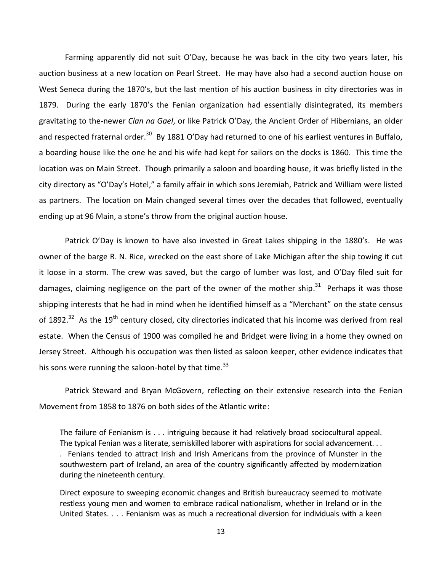Farming apparently did not suit O'Day, because he was back in the city two years later, his auction business at a new location on Pearl Street. He may have also had a second auction house on West Seneca during the 1870's, but the last mention of his auction business in city directories was in 1879. During the early 1870's the Fenian organization had essentially disintegrated, its members gravitating to the-newer *Clan na Gael*, or like Patrick O'Day, the Ancient Order of Hibernians, an older and respected fraternal order.<sup>30</sup> By 1881 O'Day had returned to one of his earliest ventures in Buffalo, a boarding house like the one he and his wife had kept for sailors on the docks is 1860. This time the location was on Main Street. Though primarily a saloon and boarding house, it was briefly listed in the city directory as "O'Day's Hotel," a family affair in which sons Jeremiah, Patrick and William were listed as partners. The location on Main changed several times over the decades that followed, eventually ending up at 96 Main, a stone's throw from the original auction house.

Patrick O'Day is known to have also invested in Great Lakes shipping in the 1880's. He was owner of the barge R. N. Rice, wrecked on the east shore of Lake Michigan after the ship towing it cut it loose in a storm. The crew was saved, but the cargo of lumber was lost, and O'Day filed suit for damages, claiming negligence on the part of the owner of the mother ship. $31$  Perhaps it was those shipping interests that he had in mind when he identified himself as a "Merchant" on the state census of 1892.<sup>32</sup> As the 19<sup>th</sup> century closed, city directories indicated that his income was derived from real estate. When the Census of 1900 was compiled he and Bridget were living in a home they owned on Jersey Street. Although his occupation was then listed as saloon keeper, other evidence indicates that his sons were running the saloon-hotel by that time.<sup>33</sup>

Patrick Steward and Bryan McGovern, reflecting on their extensive research into the Fenian Movement from 1858 to 1876 on both sides of the Atlantic write:

The failure of Fenianism is . . . intriguing because it had relatively broad sociocultural appeal. The typical Fenian was a literate, semiskilled laborer with aspirations for social advancement. . . . Fenians tended to attract Irish and Irish Americans from the province of Munster in the southwestern part of Ireland, an area of the country significantly affected by modernization during the nineteenth century.

Direct exposure to sweeping economic changes and British bureaucracy seemed to motivate restless young men and women to embrace radical nationalism, whether in Ireland or in the United States. . . . Fenianism was as much a recreational diversion for individuals with a keen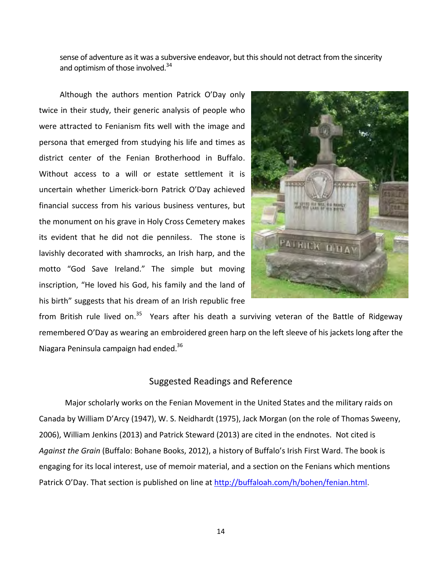sense of adventure as it was a subversive endeavor, but this should not detract from the sincerity and optimism of those involved.<sup>34</sup>

Although the authors mention Patrick O'Day only twice in their study, their generic analysis of people who were attracted to Fenianism fits well with the image and persona that emerged from studying his life and times as district center of the Fenian Brotherhood in Buffalo. Without access to a will or estate settlement it is uncertain whether Limerick-born Patrick O'Day achieved financial success from his various business ventures, but the monument on his grave in Holy Cross Cemetery makes its evident that he did not die penniless. The stone is lavishly decorated with shamrocks, an Irish harp, and the motto "God Save Ireland." The simple but moving inscription, "He loved his God, his family and the land of his birth" suggests that his dream of an Irish republic free



from British rule lived on.<sup>35</sup> Years after his death a surviving veteran of the Battle of Ridgeway remembered O'Day as wearing an embroidered green harp on the left sleeve of his jackets long after the Niagara Peninsula campaign had ended.<sup>36</sup>

# Suggested Readings and Reference

Major scholarly works on the Fenian Movement in the United States and the military raids on Canada by William D'Arcy (1947), W. S. Neidhardt (1975), Jack Morgan (on the role of Thomas Sweeny, 2006), William Jenkins (2013) and Patrick Steward (2013) are cited in the endnotes. Not cited is *Against the Grain* (Buffalo: Bohane Books, 2012), a history of Buffalo's Irish First Ward. The book is engaging for its local interest, use of memoir material, and a section on the Fenians which mentions Patrick O'Day. That section is published on line at<http://buffaloah.com/h/bohen/fenian.html>.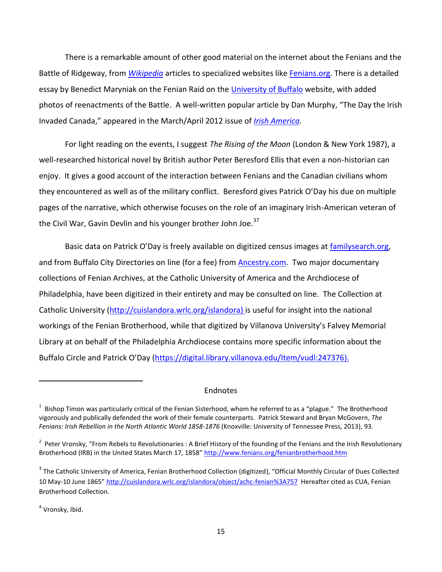There is a remarkable amount of other good material on the internet about the Fenians and the Battle of Ridgeway, from *[Wikipedia](https://wikipedia.org/)* articles to specialized websites like [Fenians.org.](http://www.fenians.org/) There is a detailed essay by Benedict Maryniak on the Fenian Raid on the [University of Buffalo](http://www.acsu.buffalo.edu/~dbertuca/155/FenianRaid.html) website, with added photos of reenactments of the Battle. A well-written popular article by Dan Murphy, "The Day the Irish Invaded Canada," appeared in the March/April 2012 issue of *[Irish America.](http://irishamerica.com/2012/03/the-day-the-irish-invaded-canada/)*

For light reading on the events, I suggest *The Rising of the Moon* (London & New York 1987), a well-researched historical novel by British author Peter Beresford Ellis that even a non-historian can enjoy. It gives a good account of the interaction between Fenians and the Canadian civilians whom they encountered as well as of the military conflict. Beresford gives Patrick O'Day his due on multiple pages of the narrative, which otherwise focuses on the role of an imaginary Irish-American veteran of the Civil War, Gavin Devlin and his younger brother John Joe.<sup>37</sup>

Basic data on Patrick O'Day is freely available on digitized census images at [familysearch.org,](https://www.familysearch.org/) and from Buffalo City Directories on line (for a fee) from [Ancestry.com.](http://www.ancestry.com/) Two major documentary collections of Fenian Archives, at the Catholic University of America and the Archdiocese of Philadelphia, have been digitized in their entirety and may be consulted on line. The Collection at Catholic University [\(http://cuislandora.wrlc.org/islandora\)](http://cuislandora.wrlc.org/islandora) is useful for insight into the national workings of the Fenian Brotherhood, while that digitized by Villanova University's Falvey Memorial Library at on behalf of the Philadelphia Archdiocese contains more specific information about the Buffalo Circle and Patrick O'Day ([https://digital.library.villanova.edu/Item/vudl:247376\)](https://digital.library.villanova.edu/Item/vudl:247376).

## Endnotes

l

 $1$  Bishop Timon was particularly critical of the Fenian Sisterhood, whom he referred to as a "plague." The Brotherhood vigorously and publically defended the work of their female counterparts. Patrick Steward and Bryan McGovern, *The*  Fenians: Irish Rebellion in the North Atlantic World 1858-1876 (Knoxville: University of Tennessee Press, 2013), 93.

<sup>&</sup>lt;sup>2</sup> Peter Vronsky, "From Rebels to Revolutionaries : A Brief History of the founding of the Fenians and the Irish Revolutionary Brotherhood (IRB) in the United States March 17, 1858" <http://www.fenians.org/fenianbrotherhood.htm>

<sup>&</sup>lt;sup>3</sup> The Catholic University of America, Fenian Brotherhood Collection (digitized), "Official Monthly Circular of Dues Collected 10 May-10 June 1865" <http://cuislandora.wrlc.org/islandora/object/achc-fenian%3A757>Hereafter cited as CUA, Fenian Brotherhood Collection.

<sup>&</sup>lt;sup>4</sup> Vronsky, Ibid.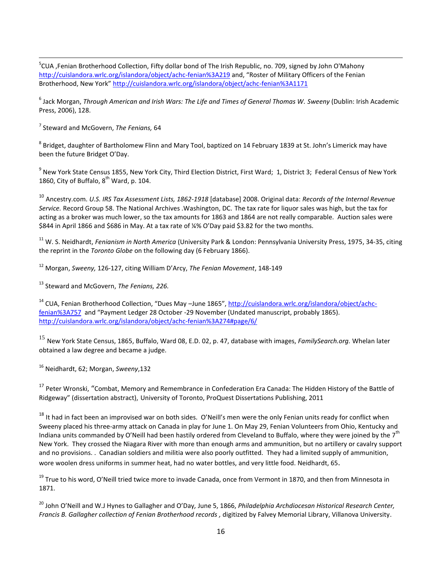$\overline{\phantom{a}}$ <sup>5</sup>CUA ,Fenian Brotherhood Collection, Fifty dollar bond of The Irish Republic, no. 709, signed by John O'Mahony <http://cuislandora.wrlc.org/islandora/object/achc-fenian%3A219>and, "Roster of Military Officers of the Fenian Brotherhood, New York" <http://cuislandora.wrlc.org/islandora/object/achc-fenian%3A1171>

<sup>6</sup> Jack Morgan, *Through American and Irish Wars: The Life and Times of General Thomas W. Sweeny (Dublin: Irish Academic* Press, 2006), 128.

7 Steward and McGovern, *The Fenians,* 64

 $^8$  Bridget, daughter of Bartholomew Flinn and Mary Tool, baptized on 14 February 1839 at St. John's Limerick may have been the future Bridget O'Day.

<sup>9</sup> New York State Census 1855, New York City, Third Election District, First Ward; 1, District 3; Federal Census of New York 1860, City of Buffalo,  $8<sup>th</sup>$  Ward, p. 104.

<sup>10</sup> Ancestry.com. *U.S. IRS Tax Assessment Lists, 1862-1918* [database] 2008. Original data: *Records of the Internal Revenue Service.* Record Group 58. The National Archives .Washington, DC. The tax rate for liquor sales was high, but the tax for acting as a broker was much lower, so the tax amounts for 1863 and 1864 are not really comparable. Auction sales were \$844 in April 1866 and \$686 in May. At a tax rate of ¼% O'Day paid \$3.82 for the two months.

<sup>11</sup> W. S. Neidhardt, *Fenianism in North America* (University Park & London: Pennsylvania University Press, 1975, 34-35, citing the reprint in the *Toronto Globe* on the following day (6 February 1866).

<sup>12</sup> Morgan, *Sweeny,* 126-127, citing William D'Arcy, *The Fenian Movement*, 148-149

<sup>13</sup> Steward and McGovern, *The Fenians, 226.*

<sup>14</sup> CUA, Fenian Brotherhood Collection, "Dues May –June 1865", [http://cuislandora.wrlc.org/islandora/object/achc](http://cuislandora.wrlc.org/islandora/object/achc-fenian%3A757)[fenian%3A757](http://cuislandora.wrlc.org/islandora/object/achc-fenian%3A757) and "Payment Ledger 28 October -29 November (Undated manuscript, probably 1865). <http://cuislandora.wrlc.org/islandora/object/achc-fenian%3A274#page/6/>

<sup>15</sup> New York State Census, 1865, Buffalo, Ward 08, E.D. 02, p. 47, database with images, *FamilySearch.org.* Whelan later obtained a law degree and became a judge.

<sup>16</sup> Neidhardt, 62; Morgan, *Sweeny*,132

<sup>17</sup> Peter Wronski, "Combat, Memory and Remembrance in Confederation Era Canada: The Hidden History of the Battle of Ridgeway" (dissertation abstract), University of Toronto, ProQuest Dissertations Publishing, 2011

<sup>18</sup> It had in fact been an improvised war on both sides. O'Neill's men were the only Fenian units ready for conflict when Sweeny placed his three-army attack on Canada in play for June 1. On May 29, Fenian Volunteers from Ohio, Kentucky and Indiana units commanded by O'Neill had been hastily ordered from Cleveland to Buffalo, where they were joined by the  $7<sup>th</sup>$ New York. They crossed the Niagara River with more than enough arms and ammunition, but no artillery or cavalry support and no provisions. . Canadian soldiers and militia were also poorly outfitted. They had a limited supply of ammunition, wore woolen dress uniforms in summer heat, had no water bottles, and very little food. Neidhardt, 65.

<sup>19</sup> True to his word, O'Neill tried twice more to invade Canada, once from Vermont in 1870, and then from Minnesota in 1871.

<sup>20</sup> John O'Neill and W.J Hynes to Gallagher and O'Day*,* June 5, 1866, *Philadelphia Archdiocesan Historical Research Center,*  Francis B. Gallagher collection of Fenian Brotherhood records, digitized by Falvey Memorial Library, Villanova University.